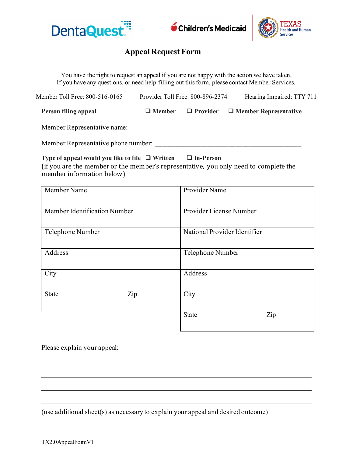



## **Appeal Request Form**

You have the right to request an appeal if you are not happy with the action we have taken. If you have any questions, or need help filling out this form, please contact Member Services.

| Member Toll Free: 800-516-0165      | Hearing Impaired: TTY 711<br>Provider Toll Free: 800-896-2374 |  |                                                            |
|-------------------------------------|---------------------------------------------------------------|--|------------------------------------------------------------|
| Person filing appeal                |                                                               |  | $\Box$ Member $\Box$ Provider $\Box$ Member Representative |
| Member Representative name:         |                                                               |  |                                                            |
| Member Representative phone number: |                                                               |  |                                                            |

**Type of appeal would you like to file Written In-Person** (if you are the member or the member's representative, you only need to complete the member information below)

| Member Name                  | Provider Name                |
|------------------------------|------------------------------|
| Member Identification Number | Provider License Number      |
| Telephone Number             | National Provider Identifier |
| Address                      | Telephone Number             |
| City                         | Address                      |
| Zip<br><b>State</b>          | City                         |
|                              | Zip<br><b>State</b>          |

Please explain your appeal:

(use additional sheet(s) as necessary to explain your appeal and desired outcome)